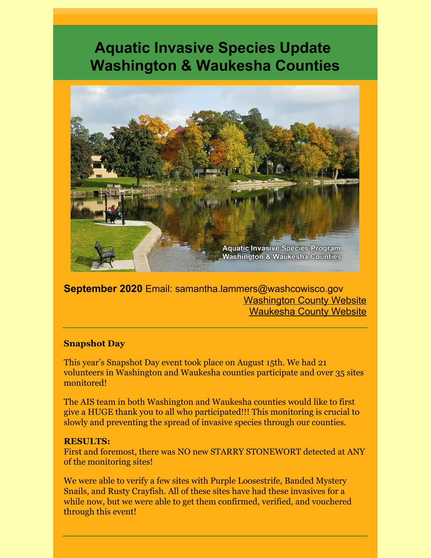# **Aquatic Invasive Species Update Washington & Waukesha Counties**



**September 2020** Email: samantha.lammers@washcowisco.gov [Washington](https://www.co.washington.wi.us/departments.iml?mdl=departments.mdl&ID=LCD) County Website [Waukesha](https://www.waukeshacounty.gov/ais/) County Website

#### **Snapshot Day**

This year's Snapshot Day event took place on August 15th. We had 21 volunteers in Washington and Waukesha counties participate and over 35 sites monitored!

The AIS team in both Washington and Waukesha counties would like to first give a HUGE thank you to all who participated!!! This monitoring is crucial to slowly and preventing the spread of invasive species through our counties.

#### **RESULTS:**

First and foremost, there was NO new STARRY STONEWORT detected at ANY of the monitoring sites!

We were able to verify a few sites with Purple Loosestrife, Banded Mystery Snails, and Rusty Crayfish. All of these sites have had these invasives for a while now, but we were able to get them confirmed, verified, and vouchered through this event!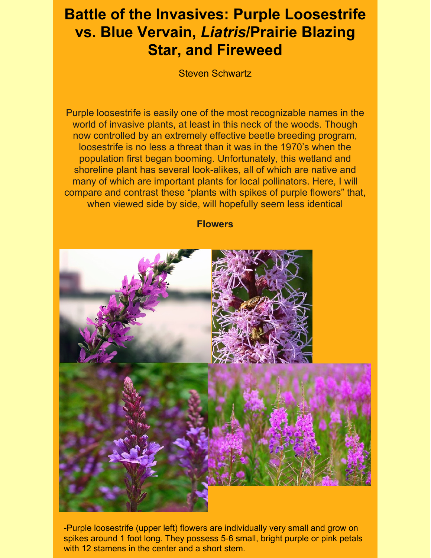# **Battle of the Invasives: Purple Loosestrife vs. Blue Vervain,** *Liatris***/Prairie Blazing Star, and Fireweed**

Steven Schwartz

Purple loosestrife is easily one of the most recognizable names in the world of invasive plants, at least in this neck of the woods. Though now controlled by an extremely effective beetle breeding program, loosestrife is no less a threat than it was in the 1970's when the population first began booming. Unfortunately, this wetland and shoreline plant has several look-alikes, all of which are native and many of which are important plants for local pollinators. Here, I will compare and contrast these "plants with spikes of purple flowers" that, when viewed side by side, will hopefully seem less identical

**Flowers**



-Purple loosestrife (upper left) flowers are individually very small and grow on spikes around 1 foot long. They possess 5-6 small, bright purple or pink petals with 12 stamens in the center and a short stem.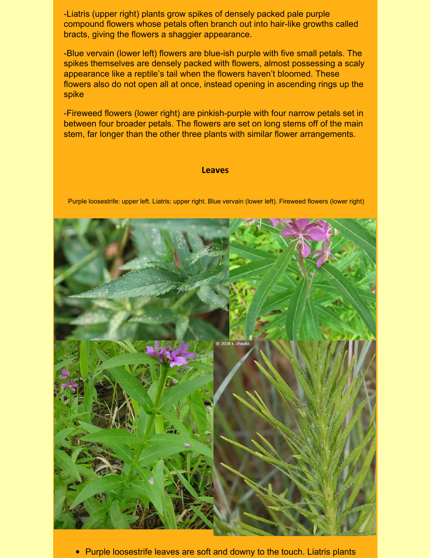-Liatris (upper right) plants grow spikes of densely packed pale purple compound flowers whose petals often branch out into hair-like growths called bracts, giving the flowers a shaggier appearance.

-Blue vervain (lower left) flowers are blue-ish purple with five small petals. The spikes themselves are densely packed with flowers, almost possessing a scaly appearance like a reptile's tail when the flowers haven't bloomed. These flowers also do not open all at once, instead opening in ascending rings up the spike

-Fireweed flowers (lower right) are pinkish-purple with four narrow petals set in between four broader petals. The flowers are set on long stems off of the main stem, far longer than the other three plants with similar flower arrangements.

#### **Leaves**

Purple loosestrife: upper left. Liatris: upper right. Blue vervain (lower left). Fireweed flowers (lower right)



• Purple loosestrife leaves are soft and downy to the touch. Liatris plants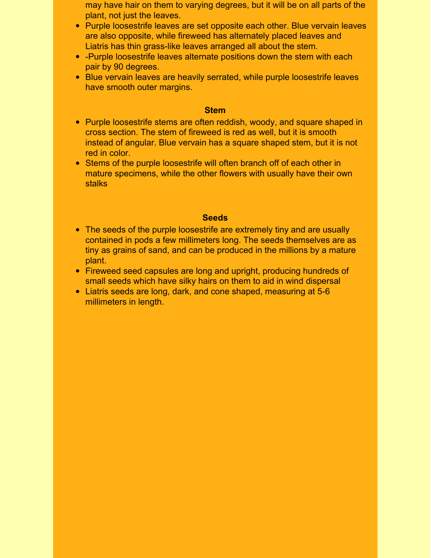- may have hair on them to varying degrees, but it will be on all parts of the plant, not just the leaves.
- Purple loosestrife leaves are set opposite each other. Blue vervain leaves are also opposite, while fireweed has alternately placed leaves and Liatris has thin grass-like leaves arranged all about the stem.
- -Purple loosestrife leaves alternate positions down the stem with each pair by 90 degrees.
- Blue vervain leaves are heavily serrated, while purple loosestrife leaves have smooth outer margins.

#### **Stem**

- Purple loosestrife stems are often reddish, woody, and square shaped in cross section. The stem of fireweed is red as well, but it is smooth instead of angular. Blue vervain has a square shaped stem, but it is not red in color.
- Stems of the purple loosestrife will often branch off of each other in mature specimens, while the other flowers with usually have their own stalks

#### **Seeds**

- The seeds of the purple loosestrife are extremely tiny and are usually contained in pods a few millimeters long. The seeds themselves are as tiny as grains of sand, and can be produced in the millions by a mature plant.
- Fireweed seed capsules are long and upright, producing hundreds of small seeds which have silky hairs on them to aid in wind dispersal
- Liatris seeds are long, dark, and cone shaped, measuring at 5-6 millimeters in length.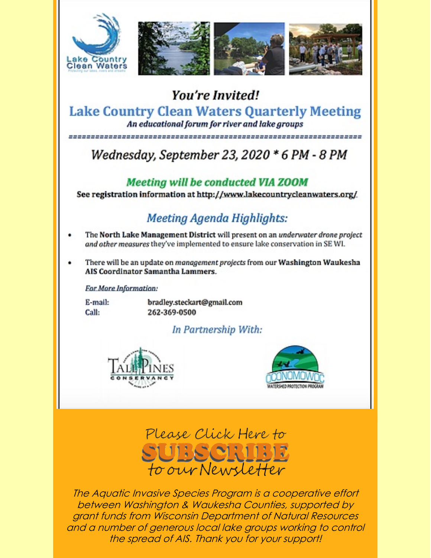

### You're Invited! **Lake Country Clean Waters Quarterly Meeting** An educational forum for river and lake groups

Wednesday, September 23, 2020 \* 6 PM - 8 PM

### **Meeting will be conducted VIA ZOOM**

See registration information at http://www.lakecountrycleanwaters.org/

## Meeting Agenda Highlights:

- The North Lake Management District will present on an underwater drone project and other measures they've implemented to ensure lake conservation in SE WI.
- There will be an update on *monogement projects* from our Washington Waukesha AIS Coordinator Samantha Lammers.

For More Information:

E-mail: Call:

bradley.steckart@gmail.com 262-369-0500

### In Partnership With:







The Aquatic Invasive Species Program is a cooperative effort between Washington & Waukesha Counties, supported by grant funds from Wisconsin Department of Natural Resources and a number of generous local lake groups working to control the spread of AIS. Thank you for your support!